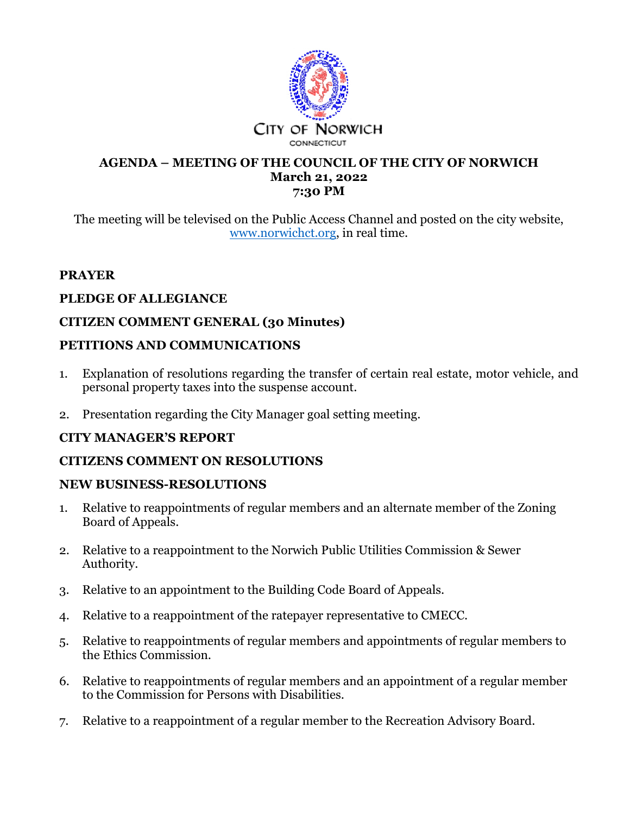

#### **AGENDA – MEETING OF THE COUNCIL OF THE CITY OF NORWICH March 21, 2022 7:30 PM**

The meeting will be televised on the Public Access Channel and posted on the city website, www.norwichct.org, in real time.

# **PRAYER**

## **PLEDGE OF ALLEGIANCE**

# **CITIZEN COMMENT GENERAL (30 Minutes)**

#### **PETITIONS AND COMMUNICATIONS**

- 1. Explanation of resolutions regarding the transfer of certain real estate, motor vehicle, and personal property taxes into the suspense account.
- 2. Presentation regarding the City Manager goal setting meeting.

## **CITY MANAGER'S REPORT**

## **CITIZENS COMMENT ON RESOLUTIONS**

## **NEW BUSINESS-RESOLUTIONS**

- 1. Relative to reappointments of regular members and an alternate member of the Zoning Board of Appeals.
- 2. Relative to a reappointment to the Norwich Public Utilities Commission & Sewer Authority.
- 3. Relative to an appointment to the Building Code Board of Appeals.
- 4. Relative to a reappointment of the ratepayer representative to CMECC.
- 5. Relative to reappointments of regular members and appointments of regular members to the Ethics Commission.
- 6. Relative to reappointments of regular members and an appointment of a regular member to the Commission for Persons with Disabilities.
- 7. Relative to a reappointment of a regular member to the Recreation Advisory Board.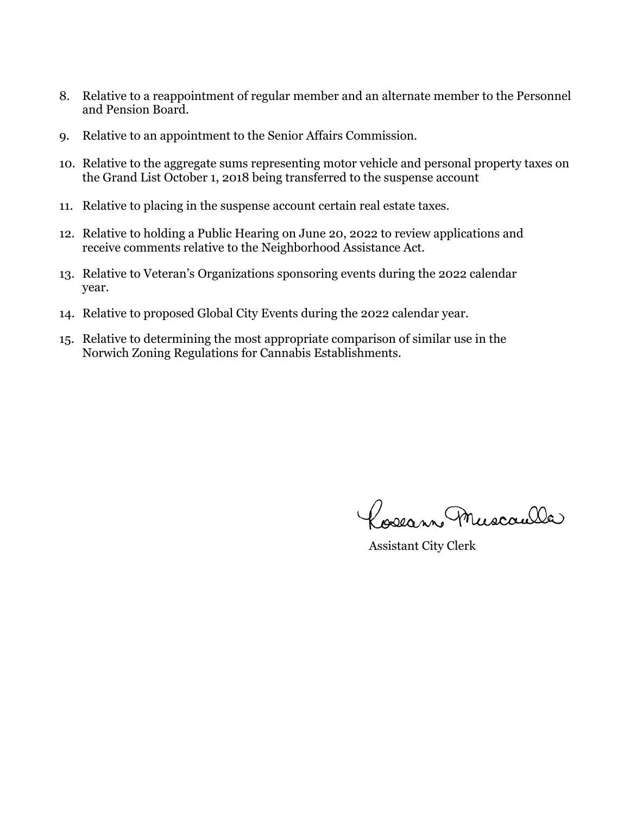- 8. Relative to a reappointment of regular member and an alternate member to the Personnel and Pension Board.
- 9. Relative to an appointment to the Senior Affairs Commission.
- 10. Relative to the aggregate sums representing motor vehicle and personal property taxes on the Grand List October 1, 2018 being transferred to the suspense account
- 11. Relative to placing in the suspense account certain real estate taxes.
- 12. Relative to holding a Public Hearing on June 20, 2022 to review applications and receive comments relative to the Neighborhood Assistance Act.
- 13. Relative to Veteran's Organizations sponsoring events during the 2022 calendar year.
- 14. Relative to proposed Global City Events during the 2022 calendar year.
- 15. Relative to determining the most appropriate comparison of similar use in the Norwich Zoning Regulations for Cannabis Establishments.

Poseann Muscaulle

Assistant City Clerk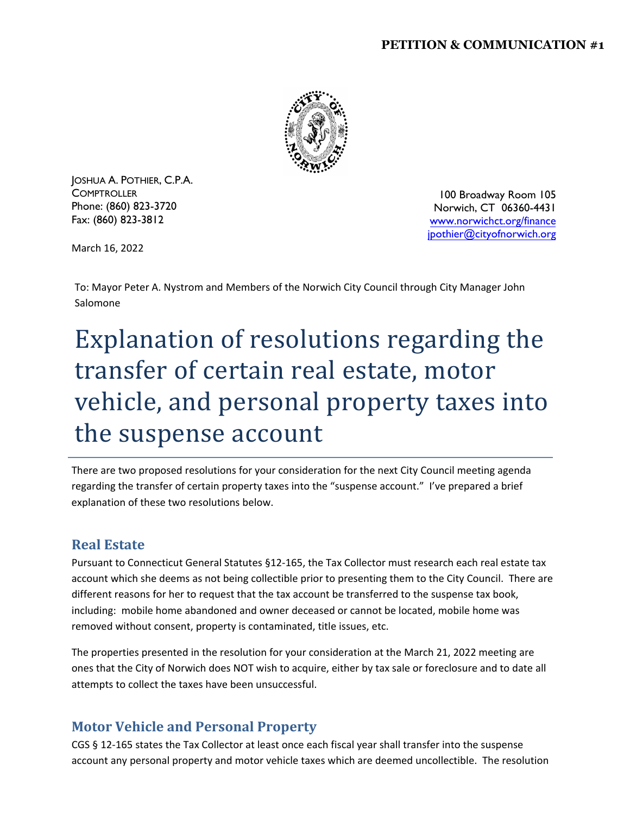#### **PETITION & COMMUNICATION #1**



JOSHUA A. POTHIER, C.P.A. **COMPTROLLER** Phone: (860) 823-3720 Fax: (860) 823-3812

100 Broadway Room 105 Norwich, CT 06360-4431 www.norwichct.org/finance jpothier@cityofnorwich.org

March 16, 2022

To: Mayor Peter A. Nystrom and Members of the Norwich City Council through City Manager John Salomone

# Explanation of resolutions regarding the transfer of certain real estate, motor vehicle, and personal property taxes into the suspense account

There are two proposed resolutions for your consideration for the next City Council meeting agenda regarding the transfer of certain property taxes into the "suspense account." I've prepared a brief explanation of these two resolutions below.

## **Real Estate**

Pursuant to Connecticut General Statutes §12‐165, the Tax Collector must research each real estate tax account which she deems as not being collectible prior to presenting them to the City Council. There are different reasons for her to request that the tax account be transferred to the suspense tax book, including: mobile home abandoned and owner deceased or cannot be located, mobile home was removed without consent, property is contaminated, title issues, etc.

The properties presented in the resolution for your consideration at the March 21, 2022 meeting are ones that the City of Norwich does NOT wish to acquire, either by tax sale or foreclosure and to date all attempts to collect the taxes have been unsuccessful.

# **Motor Vehicle and Personal Property**

CGS § 12‐165 states the Tax Collector at least once each fiscal year shall transfer into the suspense account any personal property and motor vehicle taxes which are deemed uncollectible. The resolution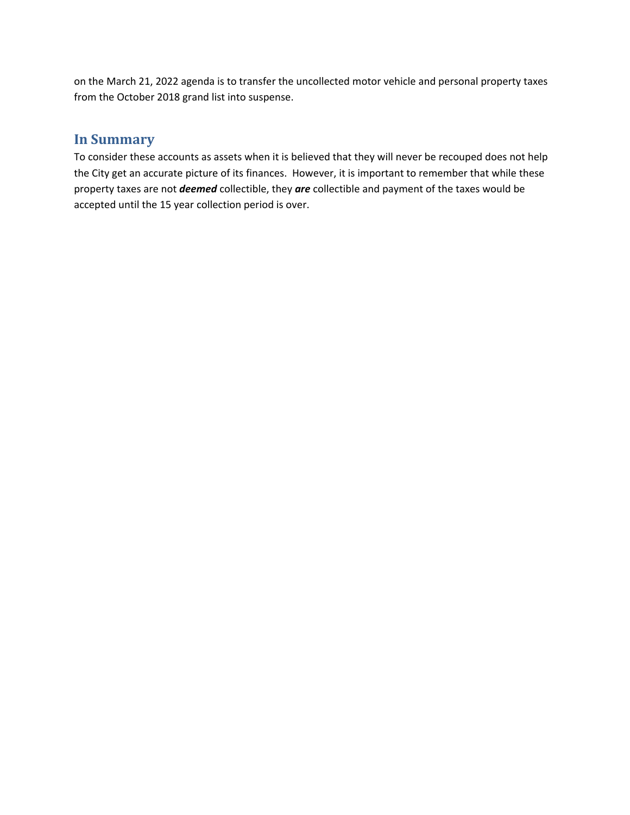on the March 21, 2022 agenda is to transfer the uncollected motor vehicle and personal property taxes from the October 2018 grand list into suspense.

# **In Summary**

To consider these accounts as assets when it is believed that they will never be recouped does not help the City get an accurate picture of its finances. However, it is important to remember that while these property taxes are not *deemed* collectible, they *are* collectible and payment of the taxes would be accepted until the 15 year collection period is over.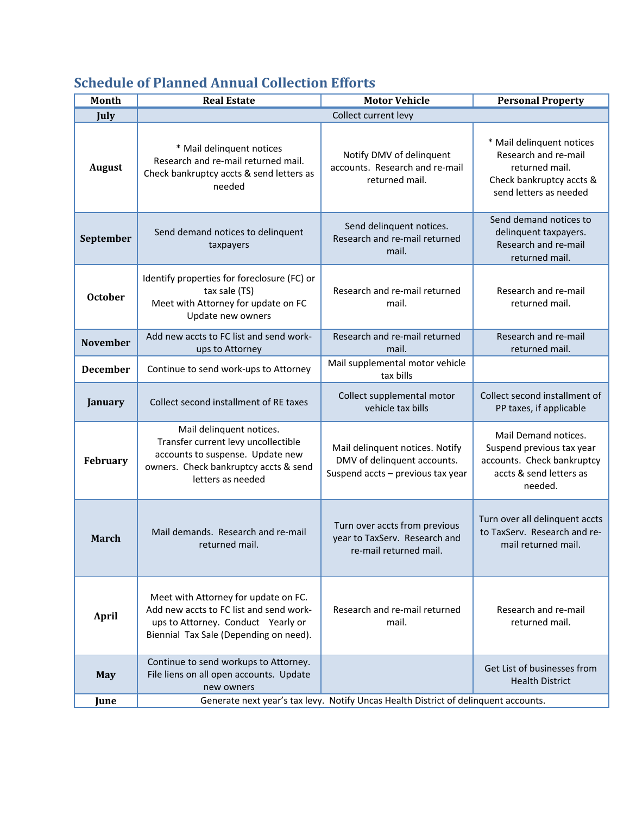# **Schedule of Planned Annual Collection Efforts**

| <b>Month</b>    | <b>Real Estate</b>                                                                                                                                                | <b>Motor Vehicle</b>                                                                                | <b>Personal Property</b>                                                                                                  |
|-----------------|-------------------------------------------------------------------------------------------------------------------------------------------------------------------|-----------------------------------------------------------------------------------------------------|---------------------------------------------------------------------------------------------------------------------------|
| July            |                                                                                                                                                                   | Collect current levy                                                                                |                                                                                                                           |
| <b>August</b>   | * Mail delinquent notices<br>Research and re-mail returned mail.<br>Check bankruptcy accts & send letters as<br>needed                                            | Notify DMV of delinquent<br>accounts. Research and re-mail<br>returned mail.                        | * Mail delinquent notices<br>Research and re-mail<br>returned mail.<br>Check bankruptcy accts &<br>send letters as needed |
| September       | Send demand notices to delinquent<br>taxpayers                                                                                                                    | Send delinquent notices.<br>Research and re-mail returned<br>mail.                                  | Send demand notices to<br>delinquent taxpayers.<br>Research and re-mail<br>returned mail.                                 |
| <b>October</b>  | Identify properties for foreclosure (FC) or<br>tax sale (TS)<br>Meet with Attorney for update on FC<br>Update new owners                                          | Research and re-mail returned<br>mail.                                                              | Research and re-mail<br>returned mail.                                                                                    |
| <b>November</b> | Add new accts to FC list and send work-<br>ups to Attorney                                                                                                        | Research and re-mail returned<br>mail.                                                              | Research and re-mail<br>returned mail.                                                                                    |
| <b>December</b> | Continue to send work-ups to Attorney                                                                                                                             | Mail supplemental motor vehicle<br>tax bills                                                        |                                                                                                                           |
| January         | Collect second installment of RE taxes                                                                                                                            | Collect supplemental motor<br>vehicle tax bills                                                     | Collect second installment of<br>PP taxes, if applicable                                                                  |
| <b>February</b> | Mail delinquent notices.<br>Transfer current levy uncollectible<br>accounts to suspense. Update new<br>owners. Check bankruptcy accts & send<br>letters as needed | Mail delinquent notices. Notify<br>DMV of delinquent accounts.<br>Suspend accts - previous tax year | Mail Demand notices.<br>Suspend previous tax year<br>accounts. Check bankruptcy<br>accts & send letters as<br>needed.     |
| <b>March</b>    | Mail demands. Research and re-mail<br>returned mail.                                                                                                              | Turn over accts from previous<br>year to TaxServ. Research and<br>re-mail returned mail.            | Turn over all delinquent accts<br>to TaxServ. Research and re-<br>mail returned mail.                                     |
| <b>April</b>    | Meet with Attorney for update on FC.<br>Add new accts to FC list and send work-<br>ups to Attorney. Conduct Yearly or<br>Biennial Tax Sale (Depending on need).   | Research and re-mail returned<br>mail.                                                              | Research and re-mail<br>returned mail.                                                                                    |
| <b>May</b>      | Continue to send workups to Attorney.<br>File liens on all open accounts. Update<br>new owners                                                                    |                                                                                                     | Get List of businesses from<br><b>Health District</b>                                                                     |
| June            | Generate next year's tax levy. Notify Uncas Health District of delinquent accounts.                                                                               |                                                                                                     |                                                                                                                           |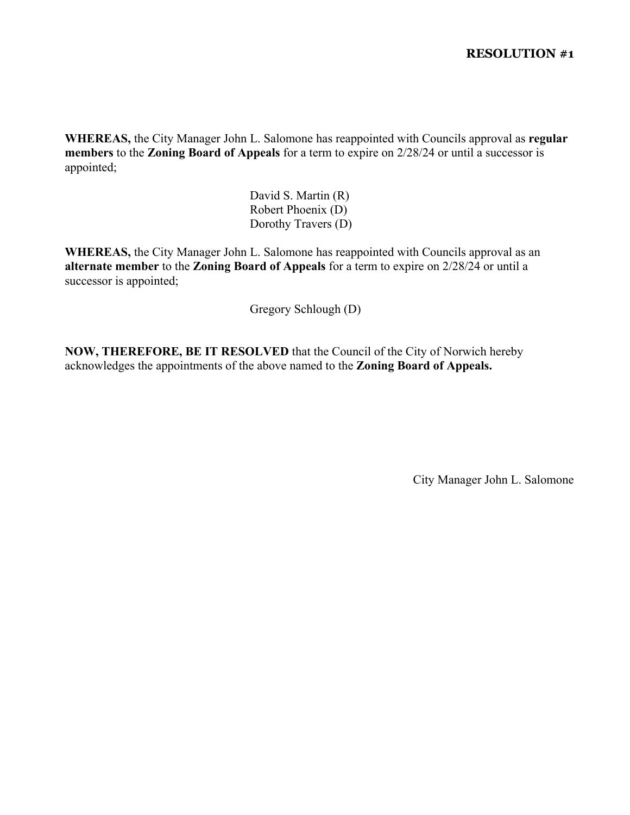**WHEREAS,** the City Manager John L. Salomone has reappointed with Councils approval as **regular members** to the **Zoning Board of Appeals** for a term to expire on 2/28/24 or until a successor is appointed;

> David S. Martin (R) Robert Phoenix (D) Dorothy Travers (D)

**WHEREAS,** the City Manager John L. Salomone has reappointed with Councils approval as an **alternate member** to the **Zoning Board of Appeals** for a term to expire on 2/28/24 or until a successor is appointed;

Gregory Schlough (D)

**NOW, THEREFORE, BE IT RESOLVED** that the Council of the City of Norwich hereby acknowledges the appointments of the above named to the **Zoning Board of Appeals.** 

City Manager John L. Salomone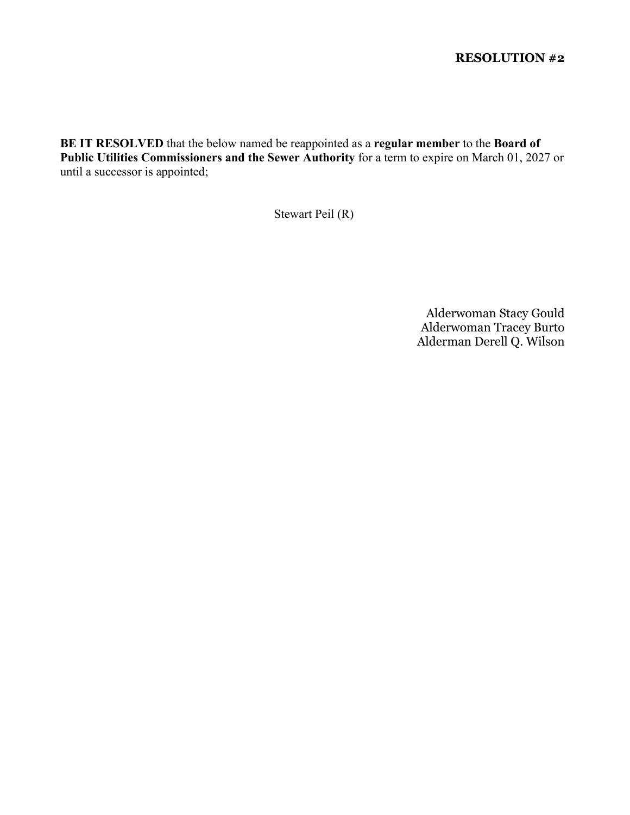**BE IT RESOLVED** that the below named be reappointed as a **regular member** to the **Board of Public Utilities Commissioners and the Sewer Authority** for a term to expire on March 01, 2027 or until a successor is appointed;

Stewart Peil (R)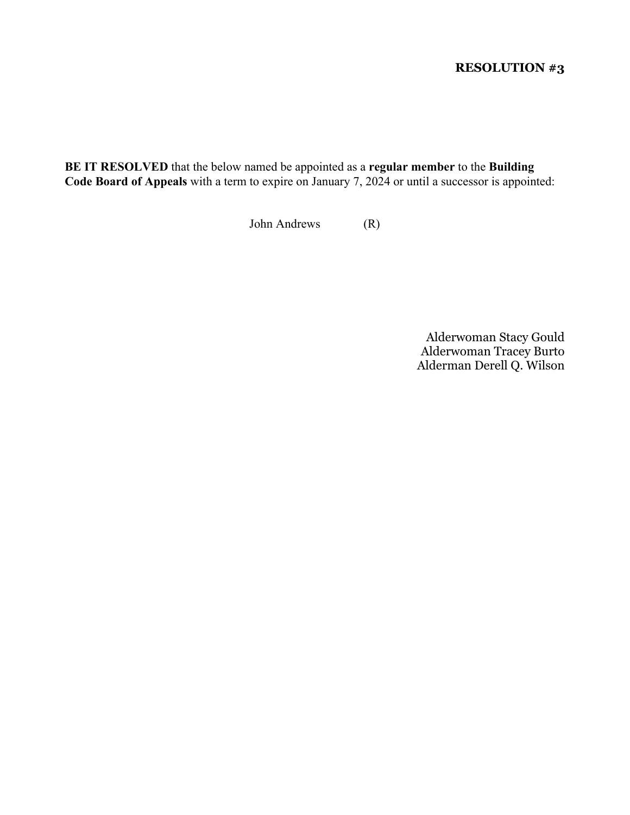**BE IT RESOLVED** that the below named be appointed as a **regular member** to the **Building Code Board of Appeals** with a term to expire on January 7, 2024 or until a successor is appointed:

John Andrews (R)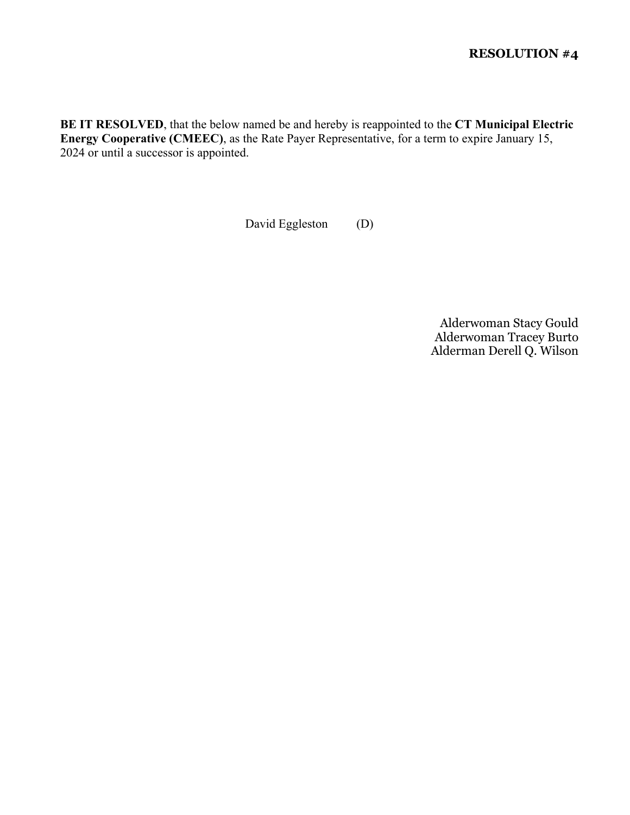**BE IT RESOLVED**, that the below named be and hereby is reappointed to the **CT Municipal Electric Energy Cooperative (CMEEC)**, as the Rate Payer Representative, for a term to expire January 15, 2024 or until a successor is appointed.

David Eggleston (D)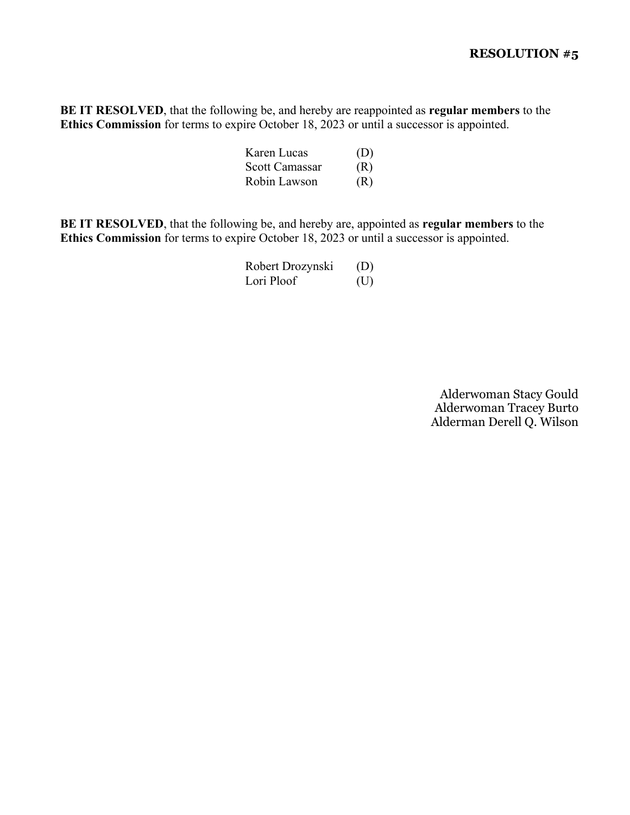**BE IT RESOLVED**, that the following be, and hereby are reappointed as **regular members** to the **Ethics Commission** for terms to expire October 18, 2023 or until a successor is appointed.

| Karen Lucas    | (D) |
|----------------|-----|
| Scott Camassar | (R) |
| Robin Lawson   | (R) |

**BE IT RESOLVED**, that the following be, and hereby are, appointed as **regular members** to the **Ethics Commission** for terms to expire October 18, 2023 or until a successor is appointed.

| Robert Drozynski | (D) |
|------------------|-----|
| Lori Ploof       | (U) |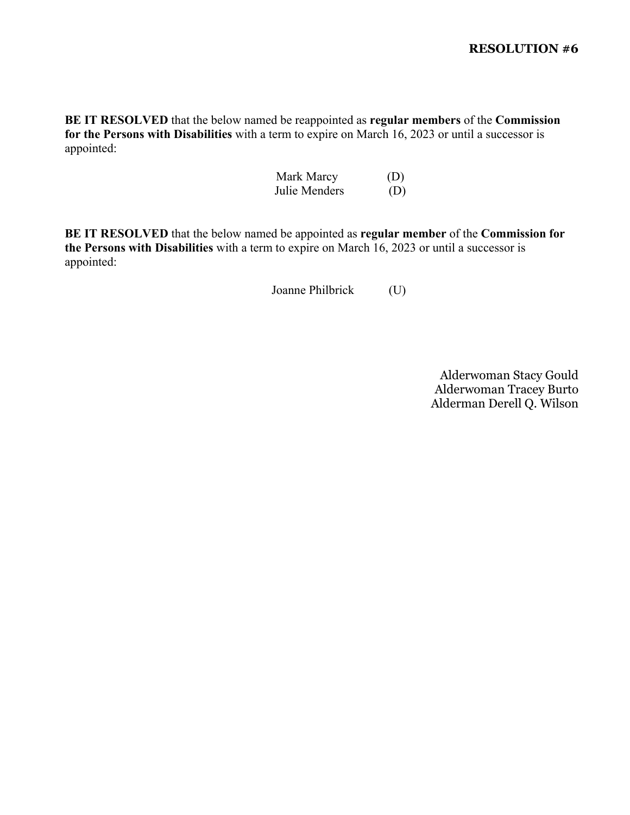**BE IT RESOLVED** that the below named be reappointed as **regular members** of the **Commission for the Persons with Disabilities** with a term to expire on March 16, 2023 or until a successor is appointed:

| Mark Marcy    | (D) |
|---------------|-----|
| Julie Menders | (D) |

**BE IT RESOLVED** that the below named be appointed as **regular member** of the **Commission for the Persons with Disabilities** with a term to expire on March 16, 2023 or until a successor is appointed:

Joanne Philbrick (U)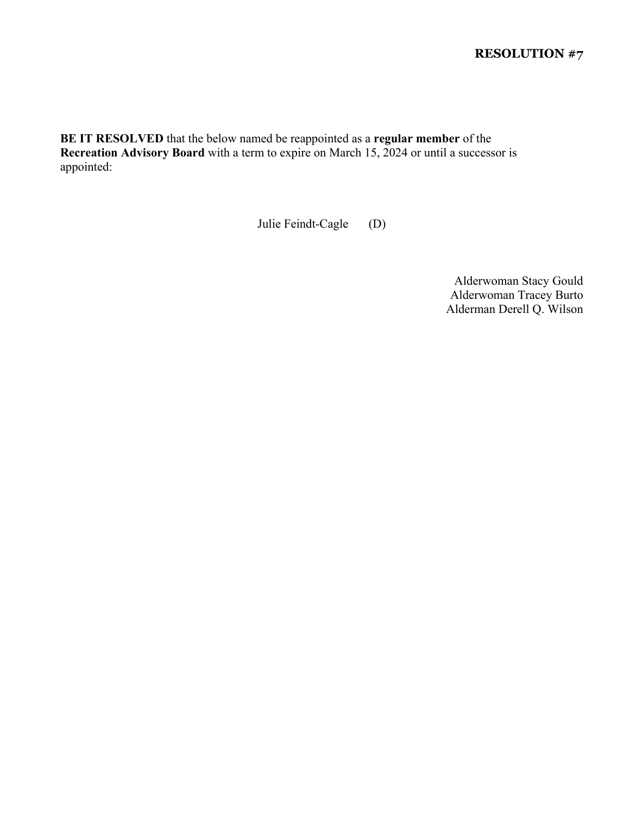**BE IT RESOLVED** that the below named be reappointed as a **regular member** of the **Recreation Advisory Board** with a term to expire on March 15, 2024 or until a successor is appointed:

Julie Feindt-Cagle (D)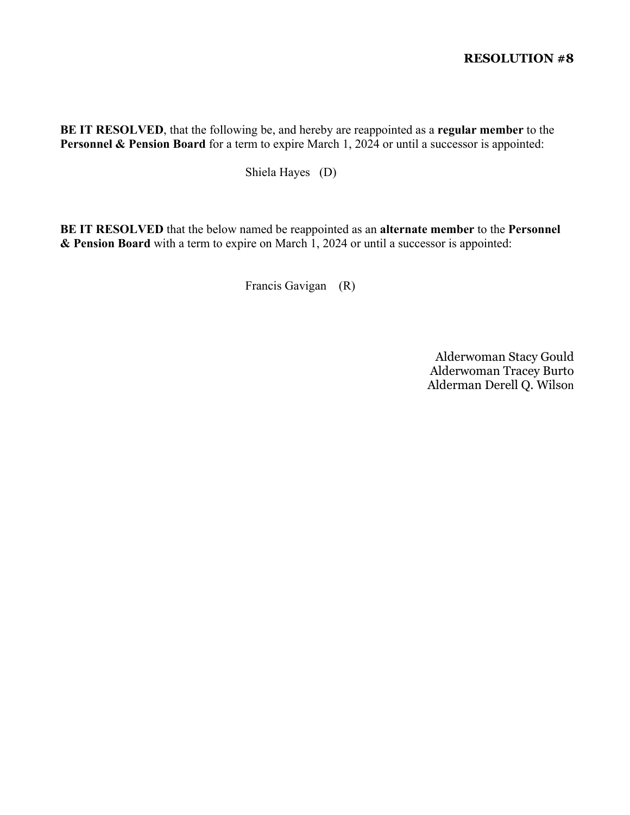**BE IT RESOLVED**, that the following be, and hereby are reappointed as a **regular member** to the Personnel & Pension Board for a term to expire March 1, 2024 or until a successor is appointed:

Shiela Hayes (D)

**BE IT RESOLVED** that the below named be reappointed as an **alternate member** to the **Personnel & Pension Board** with a term to expire on March 1, 2024 or until a successor is appointed:

Francis Gavigan (R)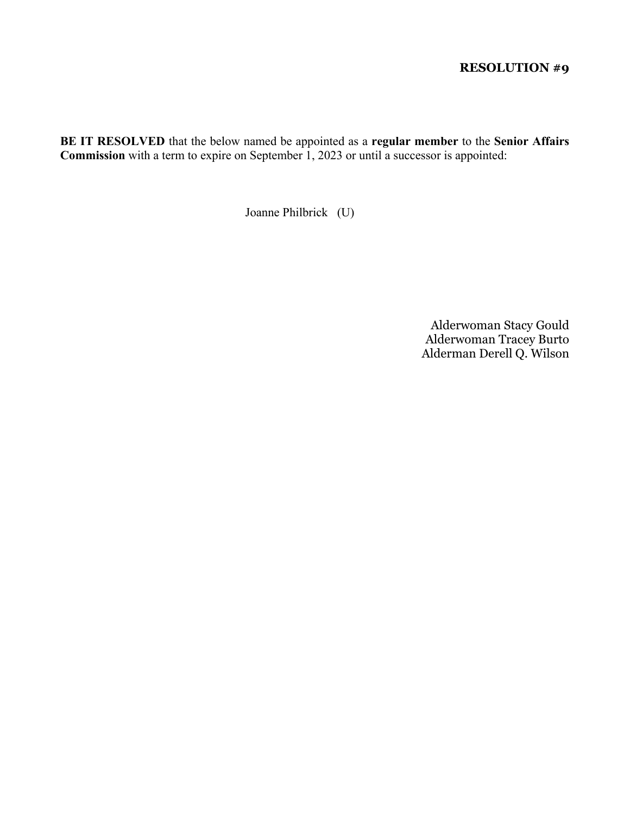**BE IT RESOLVED** that the below named be appointed as a **regular member** to the **Senior Affairs Commission** with a term to expire on September 1, 2023 or until a successor is appointed:

Joanne Philbrick (U)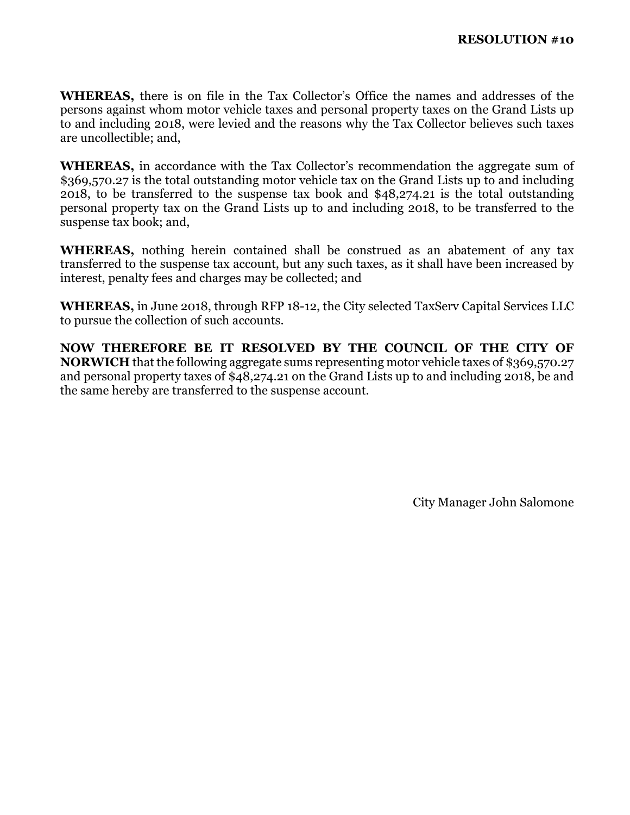**WHEREAS,** there is on file in the Tax Collector's Office the names and addresses of the persons against whom motor vehicle taxes and personal property taxes on the Grand Lists up to and including 2018, were levied and the reasons why the Tax Collector believes such taxes are uncollectible; and,

**WHEREAS,** in accordance with the Tax Collector's recommendation the aggregate sum of \$369,570.27 is the total outstanding motor vehicle tax on the Grand Lists up to and including 2018, to be transferred to the suspense tax book and \$48,274.21 is the total outstanding personal property tax on the Grand Lists up to and including 2018, to be transferred to the suspense tax book; and,

**WHEREAS,** nothing herein contained shall be construed as an abatement of any tax transferred to the suspense tax account, but any such taxes, as it shall have been increased by interest, penalty fees and charges may be collected; and

**WHEREAS,** in June 2018, through RFP 18-12, the City selected TaxServ Capital Services LLC to pursue the collection of such accounts.

**NOW THEREFORE BE IT RESOLVED BY THE COUNCIL OF THE CITY OF NORWICH** that the following aggregate sums representing motor vehicle taxes of \$369,570.27 and personal property taxes of \$48,274.21 on the Grand Lists up to and including 2018, be and the same hereby are transferred to the suspense account.

City Manager John Salomone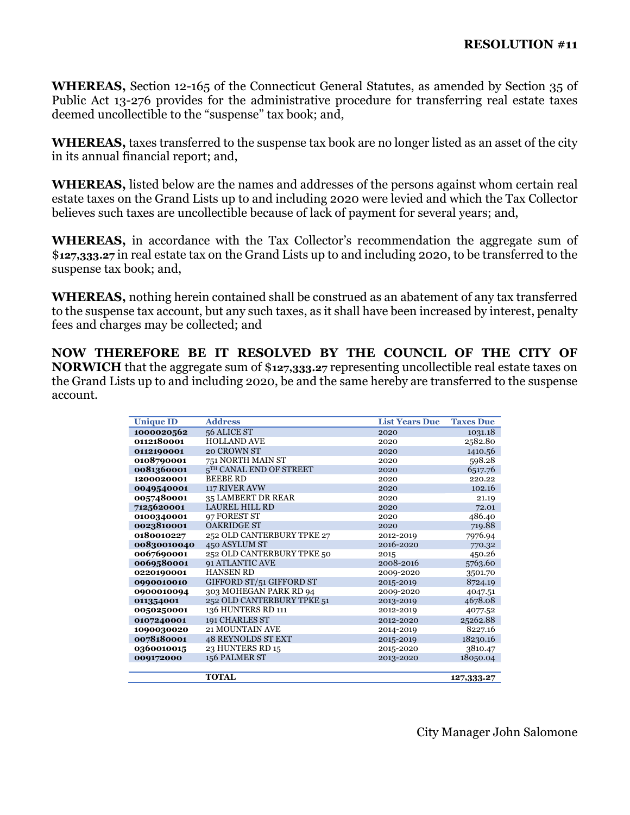**WHEREAS,** Section 12-165 of the Connecticut General Statutes, as amended by Section 35 of Public Act 13-276 provides for the administrative procedure for transferring real estate taxes deemed uncollectible to the "suspense" tax book; and,

**WHEREAS,** taxes transferred to the suspense tax book are no longer listed as an asset of the city in its annual financial report; and,

**WHEREAS,** listed below are the names and addresses of the persons against whom certain real estate taxes on the Grand Lists up to and including 2020 were levied and which the Tax Collector believes such taxes are uncollectible because of lack of payment for several years; and,

**WHEREAS,** in accordance with the Tax Collector's recommendation the aggregate sum of \$**127,333.27** in real estate tax on the Grand Lists up to and including 2020, to be transferred to the suspense tax book; and,

**WHEREAS,** nothing herein contained shall be construed as an abatement of any tax transferred to the suspense tax account, but any such taxes, as it shall have been increased by interest, penalty fees and charges may be collected; and

**NOW THEREFORE BE IT RESOLVED BY THE COUNCIL OF THE CITY OF NORWICH** that the aggregate sum of \$**127,333.27** representing uncollectible real estate taxes on the Grand Lists up to and including 2020, be and the same hereby are transferred to the suspense account.

| <b>Unique ID</b> | <b>Address</b>             | <b>List Years Due</b> | <b>Taxes Due</b> |
|------------------|----------------------------|-----------------------|------------------|
| 1000020562       | 56 ALICE ST                | 2020                  | 1031.18          |
| 0112180001       | <b>HOLLAND AVE</b>         | 2020                  | 2582.80          |
| 0112190001       | 20 CROWN ST                | 2020                  | 1410.56          |
| 0108790001       | 751 NORTH MAIN ST          | 2020                  | 598.28           |
| 0081360001       | 5TH CANAL END OF STREET    | 2020                  | 6517.76          |
| 1200020001       | <b>BEEBE RD</b>            | 2020                  | 220.22           |
| 0049540001       | 117 RIVER AVW              | 2020                  | 102.16           |
| 0057480001       | 35 LAMBERT DR REAR         | 2020                  | 21.19            |
| 7125620001       | LAUREL HILL RD             | 2020                  | 72.01            |
| 0100340001       | 97 FOREST ST               | 2020                  | 486.40           |
| 0023810001       | <b>OAKRIDGE ST</b>         | 2020                  | 719.88           |
| 0180010227       | 252 OLD CANTERBURY TPKE 27 | 2012-2019             | 7976.94          |
| 00830010040      | 450 ASYLUM ST              | 2016-2020             | 770.32           |
| 0067690001       | 252 OLD CANTERBURY TPKE 50 | 2015                  | 450.26           |
| 0069580001       | <b>91 ATLANTIC AVE</b>     | 2008-2016             | 5763.60          |
| 0220190001       | <b>HANSEN RD</b>           | 2009-2020             | 3501.70          |
| 0990010010       | GIFFORD ST/51 GIFFORD ST   | 2015-2019             | 8724.19          |
| 0900010094       | 303 MOHEGAN PARK RD 94     | 2009-2020             | 4047.51          |
| 011354001        | 252 OLD CANTERBURY TPKE 51 | 2013-2019             | 4678.08          |
| 0050250001       | 136 HUNTERS RD 111         | 2012-2019             | 4077.52          |
| 0107240001       | 191 CHARLES ST             | 2012-2020             | 25262.88         |
| 1090030020       | 21 MOUNTAIN AVE            | 2014-2019             | 8227.16          |
| 0078180001       | <b>48 REYNOLDS ST EXT</b>  | 2015-2019             | 18230.16         |
| 0360010015       | 23 HUNTERS RD 15           | 2015-2020             | 3810.47          |
| 009172000        | 156 PALMER ST              | 2013-2020             | 18050.04         |
|                  |                            |                       |                  |
|                  | <b>TOTAL</b>               |                       | 127,333.27       |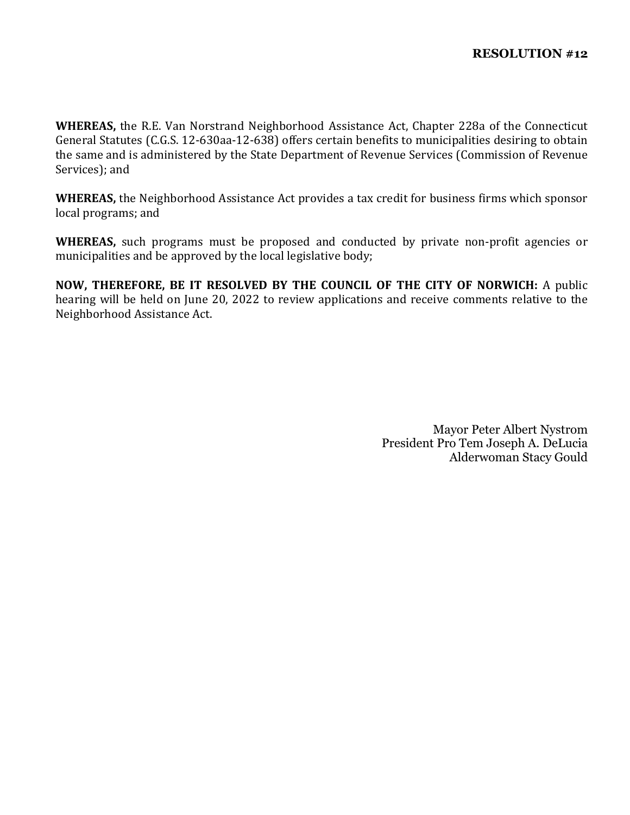**WHEREAS,** the R.E. Van Norstrand Neighborhood Assistance Act, Chapter 228a of the Connecticut General Statutes (C.G.S. 12-630aa-12-638) offers certain benefits to municipalities desiring to obtain the same and is administered by the State Department of Revenue Services (Commission of Revenue Services); and

**WHEREAS,** the Neighborhood Assistance Act provides a tax credit for business firms which sponsor local programs; and

**WHEREAS,** such programs must be proposed and conducted by private non-profit agencies or municipalities and be approved by the local legislative body;

**NOW, THEREFORE, BE IT RESOLVED BY THE COUNCIL OF THE CITY OF NORWICH:** A public hearing will be held on June 20, 2022 to review applications and receive comments relative to the Neighborhood Assistance Act.

> Mayor Peter Albert Nystrom President Pro Tem Joseph A. DeLucia Alderwoman Stacy Gould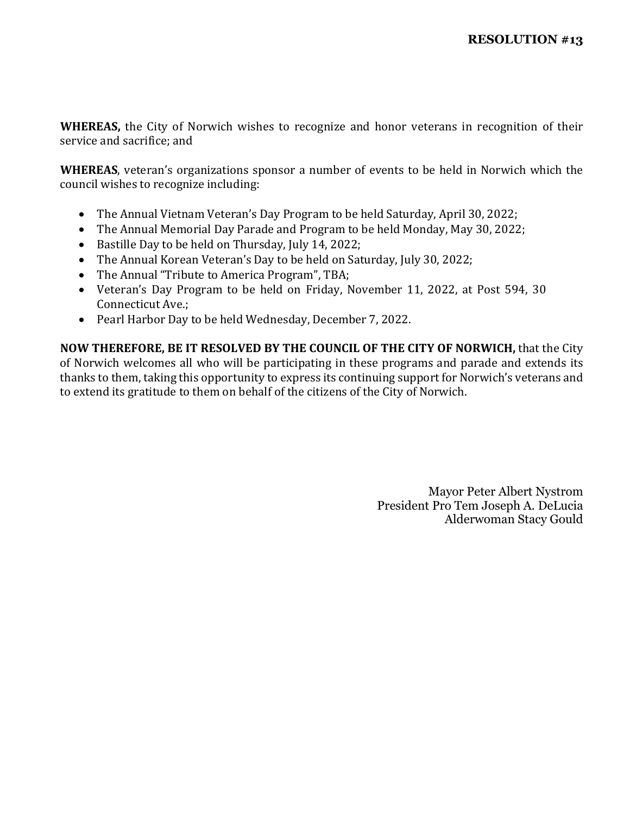**WHEREAS,** the City of Norwich wishes to recognize and honor veterans in recognition of their service and sacrifice; and

**WHEREAS**, veteran's organizations sponsor a number of events to be held in Norwich which the council wishes to recognize including:

- The Annual Vietnam Veteran's Day Program to be held Saturday, April 30, 2022;
- The Annual Memorial Day Parade and Program to be held Monday, May 30, 2022;
- Bastille Day to be held on Thursday, July 14, 2022;
- The Annual Korean Veteran's Day to be held on Saturday, July 30, 2022;
- The Annual "Tribute to America Program", TBA;
- Veteran's Day Program to be held on Friday, November 11, 2022, at Post 594, 30 Connecticut Ave.;
- Pearl Harbor Day to be held Wednesday, December 7, 2022.

**NOW THEREFORE, BE IT RESOLVED BY THE COUNCIL OF THE CITY OF NORWICH,** that the City of Norwich welcomes all who will be participating in these programs and parade and extends its thanks to them, taking this opportunity to express its continuing support for Norwich's veterans and to extend its gratitude to them on behalf of the citizens of the City of Norwich.

> Mayor Peter Albert Nystrom President Pro Tem Joseph A. DeLucia Alderwoman Stacy Gould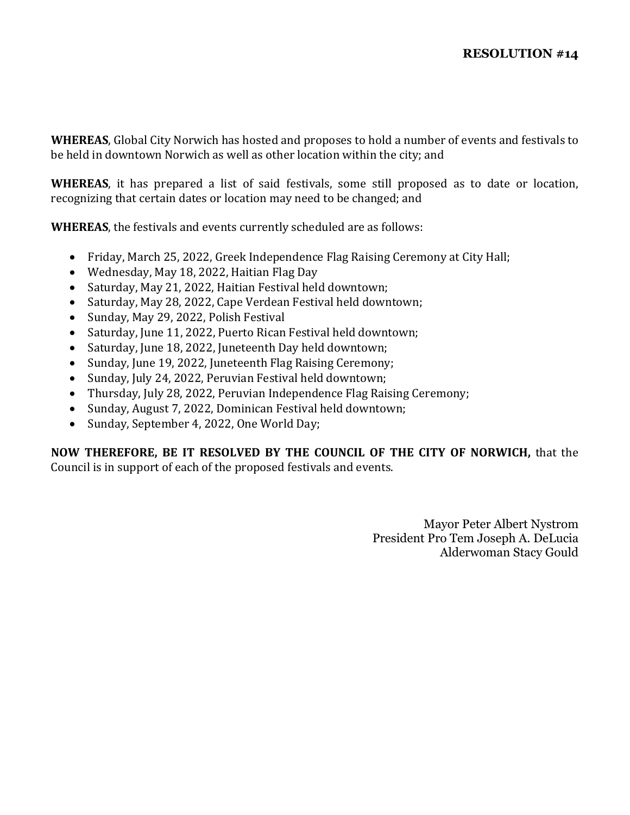**WHEREAS**, Global City Norwich has hosted and proposes to hold a number of events and festivals to be held in downtown Norwich as well as other location within the city; and

**WHEREAS**, it has prepared a list of said festivals, some still proposed as to date or location, recognizing that certain dates or location may need to be changed; and

**WHEREAS**, the festivals and events currently scheduled are as follows:

- Friday, March 25, 2022, Greek Independence Flag Raising Ceremony at City Hall;
- Wednesday, May 18, 2022, Haitian Flag Day
- Saturday, May 21, 2022, Haitian Festival held downtown;
- Saturday, May 28, 2022, Cape Verdean Festival held downtown;
- Sunday, May 29, 2022, Polish Festival
- Saturday, June 11, 2022, Puerto Rican Festival held downtown;
- Saturday, June 18, 2022, Juneteenth Day held downtown;
- Sunday, June 19, 2022, Juneteenth Flag Raising Ceremony;
- Sunday, July 24, 2022, Peruvian Festival held downtown;
- Thursday, July 28, 2022, Peruvian Independence Flag Raising Ceremony;
- Sunday, August 7, 2022, Dominican Festival held downtown;
- Sunday, September 4, 2022, One World Day;

**NOW THEREFORE, BE IT RESOLVED BY THE COUNCIL OF THE CITY OF NORWICH,** that the Council is in support of each of the proposed festivals and events.

> Mayor Peter Albert Nystrom President Pro Tem Joseph A. DeLucia Alderwoman Stacy Gould